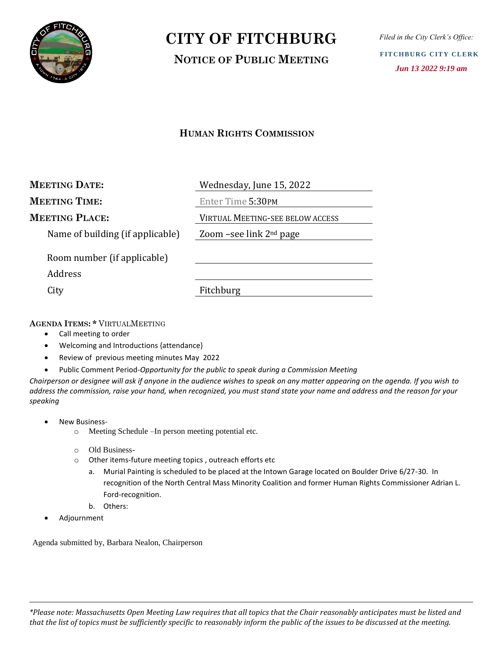

## **CITY OF FITCHBURG**

**NOTICE OF PUBLIC MEETING**

*Filed in the City Clerk's Office:* **FITCHBURG CITY CLERK**  *Jun 13 2022 9:19 am*

### **HUMAN RIGHTS COMMISSION**

| <b>MEETING DATE:</b>                           | Wednesday, June 15, 2022                |
|------------------------------------------------|-----------------------------------------|
| <b>MEETING TIME:</b>                           | Enter Time 5:30PM                       |
| <b>MEETING PLACE:</b>                          | <b>VIRTUAL MEETING-SEE BELOW ACCESS</b> |
| Name of building (if applicable)               | Zoom –see link $2nd$ page               |
| Room number (if applicable)<br>Address<br>City | Fitchburg                               |

#### **AGENDA ITEMS: \*** VIRTUALMEETING

- Call meeting to order
- Welcoming and Introductions {attendance}
- Review of previous meeting minutes May 2022
- Public Comment Period-*Opportunity for the public to speak during a Commission Meeting*

*Chairperson or designee will ask if anyone in the audience wishes to speak on any matter appearing on the agenda. If you wish to address the commission, raise your hand, when recognized, you must stand state your name and address and the reason for your speaking*

- New Business
	- o Meeting Schedule –In person meeting potential etc.
	- o Old Business-
	- o Other items-future meeting topics , outreach efforts etc
		- a. Murial Painting is scheduled to be placed at the Intown Garage located on Boulder Drive 6/27-30. In recognition of the North Central Mass Minority Coalition and former Human Rights Commissioner Adrian L. Ford-recognition.
		- b. Others:
- Adjournment

Agenda submitted by, Barbara Nealon, Chairperson